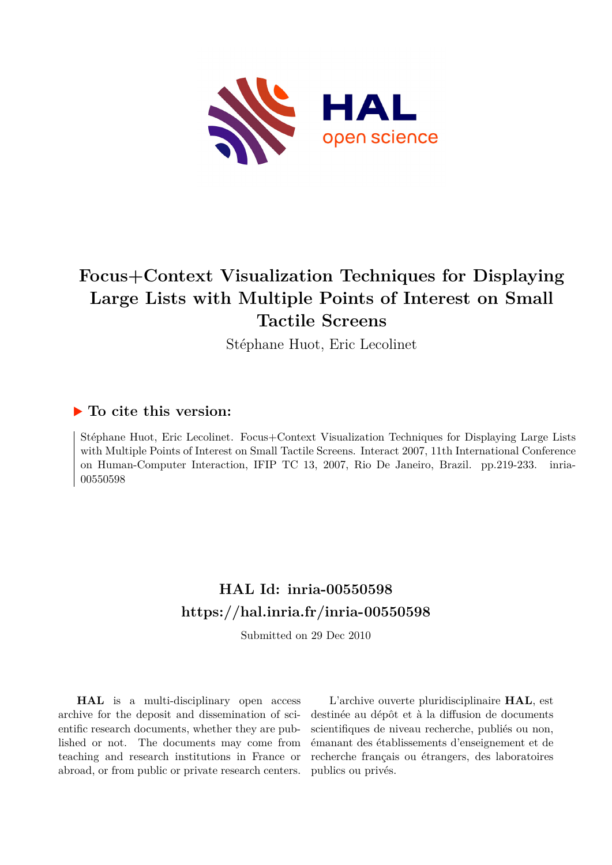

# **Focus+Context Visualization Techniques for Displaying Large Lists with Multiple Points of Interest on Small Tactile Screens**

Stéphane Huot, Eric Lecolinet

# **To cite this version:**

Stéphane Huot, Eric Lecolinet. Focus+Context Visualization Techniques for Displaying Large Lists with Multiple Points of Interest on Small Tactile Screens. Interact 2007, 11th International Conference on Human-Computer Interaction, IFIP TC 13, 2007, Rio De Janeiro, Brazil. pp.219-233. inria-00550598ff

# **HAL Id: inria-00550598 <https://hal.inria.fr/inria-00550598>**

Submitted on 29 Dec 2010

**HAL** is a multi-disciplinary open access archive for the deposit and dissemination of scientific research documents, whether they are published or not. The documents may come from teaching and research institutions in France or abroad, or from public or private research centers.

L'archive ouverte pluridisciplinaire **HAL**, est destinée au dépôt et à la diffusion de documents scientifiques de niveau recherche, publiés ou non, émanant des établissements d'enseignement et de recherche français ou étrangers, des laboratoires publics ou privés.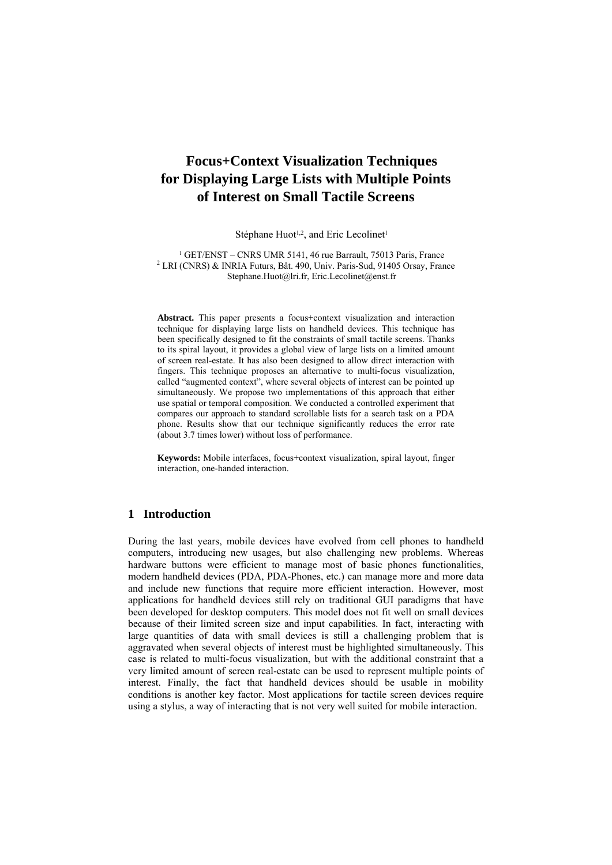# **Focus+Context Visualization Techniques for Displaying Large Lists with Multiple Points of Interest on Small Tactile Screens**

Stéphane Huot<sup>1,2</sup>, and Eric Lecolinet<sup>1</sup>

<sup>1</sup> GET/ENST – CNRS UMR 5141, 46 rue Barrault, 75013 Paris, France<br><sup>2</sup> L PL (CNPS) & INPLA Enture P<sup>3t</sup> 400 Univ. Perio Sud. 01405 Oreau Fran LRI (CNRS) & INRIA Futurs, Bât. 490, Univ. Paris-Sud, 91405 Orsay, France Stephane.Huot@lri.fr, Eric.Lecolinet@enst.fr

**Abstract.** This paper presents a focus+context visualization and interaction technique for displaying large lists on handheld devices. This technique has been specifically designed to fit the constraints of small tactile screens. Thanks to its spiral layout, it provides a global view of large lists on a limited amount of screen real-estate. It has also been designed to allow direct interaction with fingers. This technique proposes an alternative to multi-focus visualization, called "augmented context", where several objects of interest can be pointed up simultaneously. We propose two implementations of this approach that either use spatial or temporal composition. We conducted a controlled experiment that compares our approach to standard scrollable lists for a search task on a PDA phone. Results show that our technique significantly reduces the error rate (about 3.7 times lower) without loss of performance.

**Keywords:** Mobile interfaces, focus+context visualization, spiral layout, finger interaction, one-handed interaction.

# **1 Introduction**

During the last years, mobile devices have evolved from cell phones to handheld computers, introducing new usages, but also challenging new problems. Whereas hardware buttons were efficient to manage most of basic phones functionalities, modern handheld devices (PDA, PDA-Phones, etc.) can manage more and more data and include new functions that require more efficient interaction. However, most applications for handheld devices still rely on traditional GUI paradigms that have been developed for desktop computers. This model does not fit well on small devices because of their limited screen size and input capabilities. In fact, interacting with large quantities of data with small devices is still a challenging problem that is aggravated when several objects of interest must be highlighted simultaneously. This case is related to multi-focus visualization, but with the additional constraint that a very limited amount of screen real-estate can be used to represent multiple points of interest. Finally, the fact that handheld devices should be usable in mobility conditions is another key factor. Most applications for tactile screen devices require using a stylus, a way of interacting that is not very well suited for mobile interaction.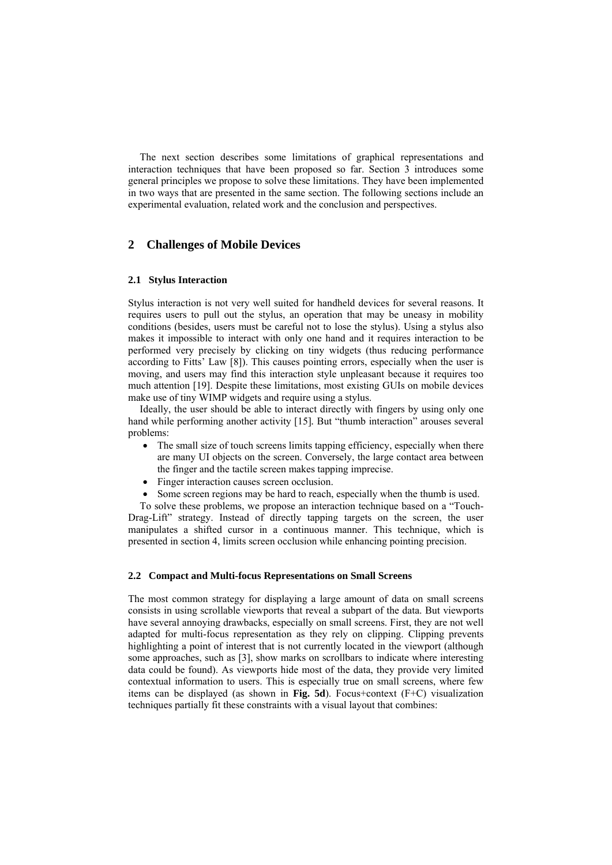The next section describes some limitations of graphical representations and interaction techniques that have been proposed so far. Section 3 introduces some general principles we propose to solve these limitations. They have been implemented in two ways that are presented in the same section. The following sections include an experimental evaluation, related work and the conclusion and perspectives.

# **2 Challenges of Mobile Devices**

## **2.1 Stylus Interaction**

Stylus interaction is not very well suited for handheld devices for several reasons. It requires users to pull out the stylus, an operation that may be uneasy in mobility conditions (besides, users must be careful not to lose the stylus). Using a stylus also makes it impossible to interact with only one hand and it requires interaction to be performed very precisely by clicking on tiny widgets (thus reducing performance according to Fitts' Law [8]). This causes pointing errors, especially when the user is moving, and users may find this interaction style unpleasant because it requires too much attention [19]. Despite these limitations, most existing GUIs on mobile devices make use of tiny WIMP widgets and require using a stylus.

Ideally, the user should be able to interact directly with fingers by using only one hand while performing another activity [15]. But "thumb interaction" arouses several problems:

- The small size of touch screens limits tapping efficiency, especially when there are many UI objects on the screen. Conversely, the large contact area between the finger and the tactile screen makes tapping imprecise.
- Finger interaction causes screen occlusion.
- Some screen regions may be hard to reach, especially when the thumb is used.

To solve these problems, we propose an interaction technique based on a "Touch-Drag-Lift" strategy. Instead of directly tapping targets on the screen, the user manipulates a shifted cursor in a continuous manner. This technique, which is presented in section 4, limits screen occlusion while enhancing pointing precision.

#### **2.2 Compact and Multi-focus Representations on Small Screens**

The most common strategy for displaying a large amount of data on small screens consists in using scrollable viewports that reveal a subpart of the data. But viewports have several annoying drawbacks, especially on small screens. First, they are not well adapted for multi-focus representation as they rely on clipping. Clipping prevents highlighting a point of interest that is not currently located in the viewport (although some approaches, such as [3], show marks on scrollbars to indicate where interesting data could be found). As viewports hide most of the data, they provide very limited contextual information to users. This is especially true on small screens, where few items can be displayed (as shown in **Fig. 5d**). Focus+context (F+C) visualization techniques partially fit these constraints with a visual layout that combines: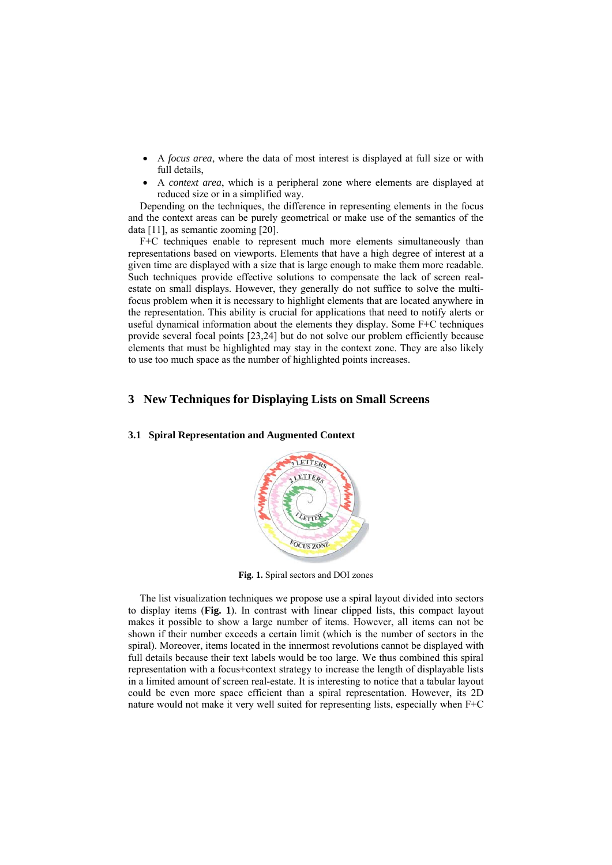- A *focus area*, where the data of most interest is displayed at full size or with full details,
- A *context area*, which is a peripheral zone where elements are displayed at reduced size or in a simplified way.

Depending on the techniques, the difference in representing elements in the focus and the context areas can be purely geometrical or make use of the semantics of the data [11], as semantic zooming [20].

F+C techniques enable to represent much more elements simultaneously than representations based on viewports. Elements that have a high degree of interest at a given time are displayed with a size that is large enough to make them more readable. Such techniques provide effective solutions to compensate the lack of screen realestate on small displays. However, they generally do not suffice to solve the multifocus problem when it is necessary to highlight elements that are located anywhere in the representation. This ability is crucial for applications that need to notify alerts or useful dynamical information about the elements they display. Some F+C techniques provide several focal points [23,24] but do not solve our problem efficiently because elements that must be highlighted may stay in the context zone. They are also likely to use too much space as the number of highlighted points increases.

# **3 New Techniques for Displaying Lists on Small Screens**



#### **3.1 Spiral Representation and Augmented Context**

**Fig. 1.** Spiral sectors and DOI zones

The list visualization techniques we propose use a spiral layout divided into sectors to display items (**Fig. 1**). In contrast with linear clipped lists, this compact layout makes it possible to show a large number of items. However, all items can not be shown if their number exceeds a certain limit (which is the number of sectors in the spiral). Moreover, items located in the innermost revolutions cannot be displayed with full details because their text labels would be too large. We thus combined this spiral representation with a focus+context strategy to increase the length of displayable lists in a limited amount of screen real-estate. It is interesting to notice that a tabular layout could be even more space efficient than a spiral representation. However, its 2D nature would not make it very well suited for representing lists, especially when F+C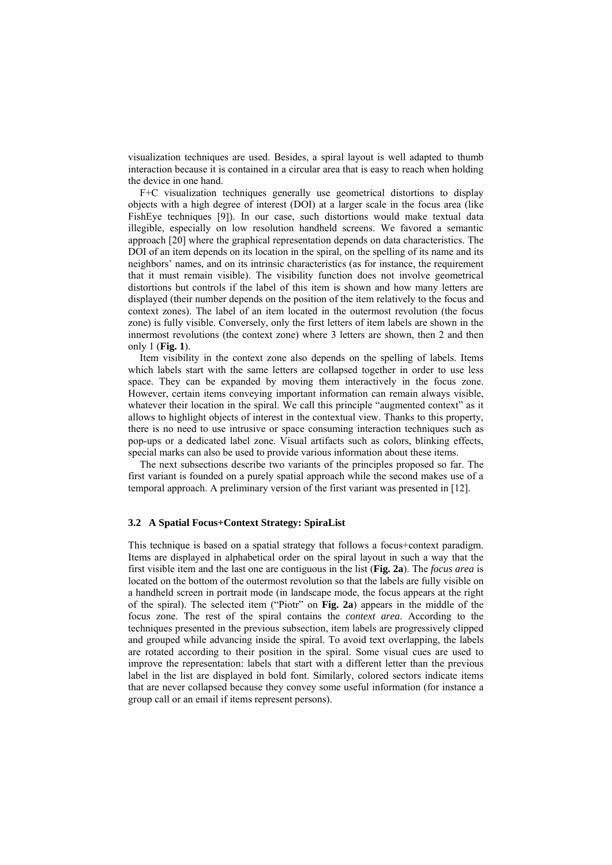visualization techniques are used. Besides, a spiral layout is well adapted to thumb interaction because it is contained in a circular area that is easy to reach when holding the device in one hand.

F+C visualization techniques generally use geometrical distortions to display objects with a high degree of interest (DOI) at a larger scale in the focus area (like FishEye techniques [9]). In our case, such distortions would make textual data illegible, especially on low resolution handheld screens. We favored a semantic approach [20] where the graphical representation depends on data characteristics. The DOI of an item depends on its location in the spiral, on the spelling of its name and its neighbors' names, and on its intrinsic characteristics (as for instance, the requirement that it must remain visible). The visibility function does not involve geometrical distortions but controls if the label of this item is shown and how many letters are displayed (their number depends on the position of the item relatively to the focus and context zones). The label of an item located in the outermost revolution (the focus zone) is fully visible. Conversely, only the first letters of item labels are shown in the innermost revolutions (the context zone) where 3 letters are shown, then 2 and then only 1 (**Fig. 1**).

Item visibility in the context zone also depends on the spelling of labels. Items which labels start with the same letters are collapsed together in order to use less space. They can be expanded by moving them interactively in the focus zone. However, certain items conveying important information can remain always visible, whatever their location in the spiral. We call this principle "augmented context" as it allows to highlight objects of interest in the contextual view. Thanks to this property, there is no need to use intrusive or space consuming interaction techniques such as pop-ups or a dedicated label zone. Visual artifacts such as colors, blinking effects, special marks can also be used to provide various information about these items.

The next subsections describe two variants of the principles proposed so far. The first variant is founded on a purely spatial approach while the second makes use of a temporal approach. A preliminary version of the first variant was presented in [12].

### **3.2 A Spatial Focus+Context Strategy: SpiraList**

This technique is based on a spatial strategy that follows a focus+context paradigm. Items are displayed in alphabetical order on the spiral layout in such a way that the first visible item and the last one are contiguous in the list (**Fig. 2a**). The *focus area* is located on the bottom of the outermost revolution so that the labels are fully visible on a handheld screen in portrait mode (in landscape mode, the focus appears at the right of the spiral). The selected item ("Piotr" on **Fig. 2a**) appears in the middle of the focus zone. The rest of the spiral contains the *context area*. According to the techniques presented in the previous subsection, item labels are progressively clipped and grouped while advancing inside the spiral. To avoid text overlapping, the labels are rotated according to their position in the spiral. Some visual cues are used to improve the representation: labels that start with a different letter than the previous label in the list are displayed in bold font. Similarly, colored sectors indicate items that are never collapsed because they convey some useful information (for instance a group call or an email if items represent persons).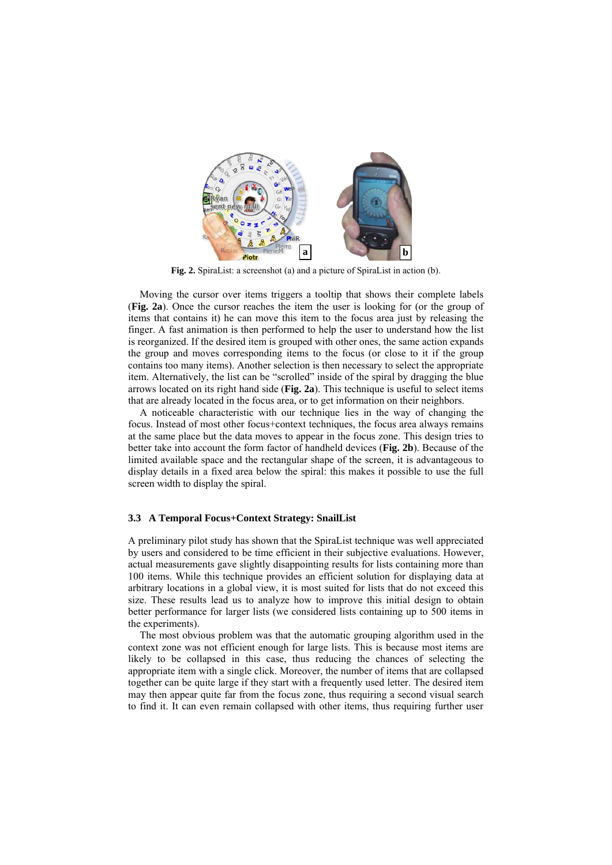

**Fig. 2.** SpiraList: a screenshot (a) and a picture of SpiraList in action (b).

Moving the cursor over items triggers a tooltip that shows their complete labels (**Fig. 2a**). Once the cursor reaches the item the user is looking for (or the group of items that contains it) he can move this item to the focus area just by releasing the finger. A fast animation is then performed to help the user to understand how the list is reorganized. If the desired item is grouped with other ones, the same action expands the group and moves corresponding items to the focus (or close to it if the group contains too many items). Another selection is then necessary to select the appropriate item. Alternatively, the list can be "scrolled" inside of the spiral by dragging the blue arrows located on its right hand side (**Fig. 2a**). This technique is useful to select items that are already located in the focus area, or to get information on their neighbors.

A noticeable characteristic with our technique lies in the way of changing the focus. Instead of most other focus+context techniques, the focus area always remains at the same place but the data moves to appear in the focus zone. This design tries to better take into account the form factor of handheld devices (**Fig. 2b**). Because of the limited available space and the rectangular shape of the screen, it is advantageous to display details in a fixed area below the spiral: this makes it possible to use the full screen width to display the spiral.

#### **3.3 A Temporal Focus+Context Strategy: SnailList**

A preliminary pilot study has shown that the SpiraList technique was well appreciated by users and considered to be time efficient in their subjective evaluations. However, actual measurements gave slightly disappointing results for lists containing more than 100 items. While this technique provides an efficient solution for displaying data at arbitrary locations in a global view, it is most suited for lists that do not exceed this size. These results lead us to analyze how to improve this initial design to obtain better performance for larger lists (we considered lists containing up to 500 items in the experiments).

The most obvious problem was that the automatic grouping algorithm used in the context zone was not efficient enough for large lists. This is because most items are likely to be collapsed in this case, thus reducing the chances of selecting the appropriate item with a single click. Moreover, the number of items that are collapsed together can be quite large if they start with a frequently used letter. The desired item may then appear quite far from the focus zone, thus requiring a second visual search to find it. It can even remain collapsed with other items, thus requiring further user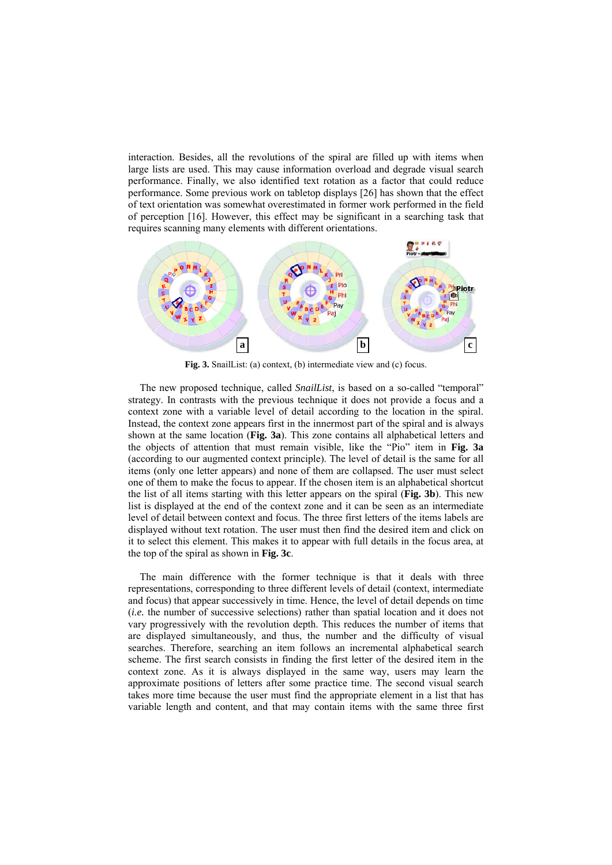interaction. Besides, all the revolutions of the spiral are filled up with items when large lists are used. This may cause information overload and degrade visual search performance. Finally, we also identified text rotation as a factor that could reduce performance. Some previous work on tabletop displays [26] has shown that the effect of text orientation was somewhat overestimated in former work performed in the field of perception [16]. However, this effect may be significant in a searching task that requires scanning many elements with different orientations.



Fig. 3. SnailList: (a) context, (b) intermediate view and (c) focus.

The new proposed technique, called *SnailList*, is based on a so-called "temporal" strategy. In contrasts with the previous technique it does not provide a focus and a context zone with a variable level of detail according to the location in the spiral. Instead, the context zone appears first in the innermost part of the spiral and is always shown at the same location (**Fig. 3a**). This zone contains all alphabetical letters and the objects of attention that must remain visible, like the "Pio" item in **Fig. 3a** (according to our augmented context principle). The level of detail is the same for all items (only one letter appears) and none of them are collapsed. The user must select one of them to make the focus to appear. If the chosen item is an alphabetical shortcut the list of all items starting with this letter appears on the spiral (**Fig. 3b**). This new list is displayed at the end of the context zone and it can be seen as an intermediate level of detail between context and focus. The three first letters of the items labels are displayed without text rotation. The user must then find the desired item and click on it to select this element. This makes it to appear with full details in the focus area, at the top of the spiral as shown in **Fig. 3c**.

The main difference with the former technique is that it deals with three representations, corresponding to three different levels of detail (context, intermediate and focus) that appear successively in time. Hence, the level of detail depends on time (*i.e.* the number of successive selections) rather than spatial location and it does not vary progressively with the revolution depth. This reduces the number of items that are displayed simultaneously, and thus, the number and the difficulty of visual searches. Therefore, searching an item follows an incremental alphabetical search scheme. The first search consists in finding the first letter of the desired item in the context zone. As it is always displayed in the same way, users may learn the approximate positions of letters after some practice time. The second visual search takes more time because the user must find the appropriate element in a list that has variable length and content, and that may contain items with the same three first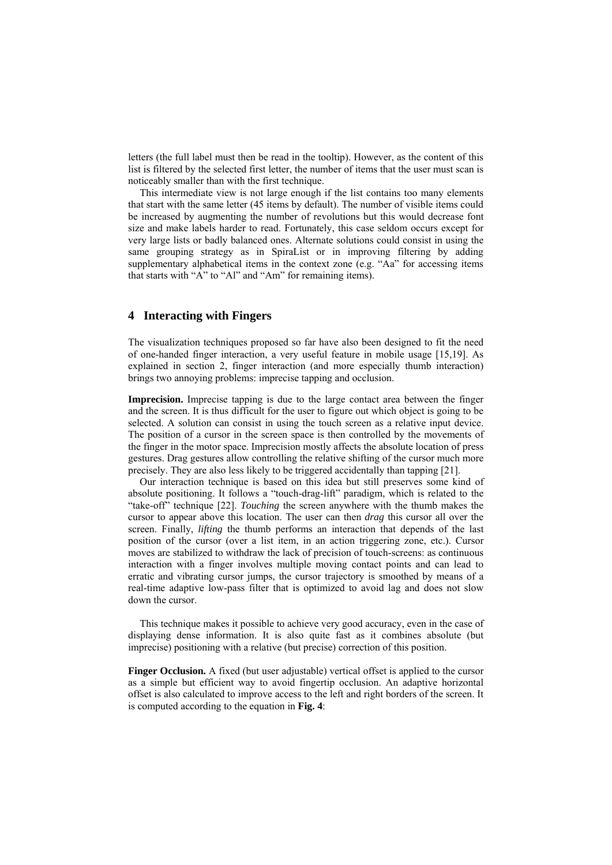letters (the full label must then be read in the tooltip). However, as the content of this list is filtered by the selected first letter, the number of items that the user must scan is noticeably smaller than with the first technique.

This intermediate view is not large enough if the list contains too many elements that start with the same letter (45 items by default). The number of visible items could be increased by augmenting the number of revolutions but this would decrease font size and make labels harder to read. Fortunately, this case seldom occurs except for very large lists or badly balanced ones. Alternate solutions could consist in using the same grouping strategy as in SpiraList or in improving filtering by adding supplementary alphabetical items in the context zone (e.g. "Aa" for accessing items that starts with "A" to "Al" and "Am" for remaining items).

# **4 Interacting with Fingers**

The visualization techniques proposed so far have also been designed to fit the need of one-handed finger interaction, a very useful feature in mobile usage [15,19]. As explained in section 2, finger interaction (and more especially thumb interaction) brings two annoying problems: imprecise tapping and occlusion.

**Imprecision.** Imprecise tapping is due to the large contact area between the finger and the screen. It is thus difficult for the user to figure out which object is going to be selected. A solution can consist in using the touch screen as a relative input device. The position of a cursor in the screen space is then controlled by the movements of the finger in the motor space. Imprecision mostly affects the absolute location of press gestures. Drag gestures allow controlling the relative shifting of the cursor much more precisely. They are also less likely to be triggered accidentally than tapping [21].

Our interaction technique is based on this idea but still preserves some kind of absolute positioning. It follows a "touch-drag-lift" paradigm, which is related to the "take-off" technique [22]. *Touching* the screen anywhere with the thumb makes the cursor to appear above this location. The user can then *drag* this cursor all over the screen. Finally, *lifting* the thumb performs an interaction that depends of the last position of the cursor (over a list item, in an action triggering zone, etc.). Cursor moves are stabilized to withdraw the lack of precision of touch-screens: as continuous interaction with a finger involves multiple moving contact points and can lead to erratic and vibrating cursor jumps, the cursor trajectory is smoothed by means of a real-time adaptive low-pass filter that is optimized to avoid lag and does not slow down the cursor.

This technique makes it possible to achieve very good accuracy, even in the case of displaying dense information. It is also quite fast as it combines absolute (but imprecise) positioning with a relative (but precise) correction of this position.

**Finger Occlusion.** A fixed (but user adjustable) vertical offset is applied to the cursor as a simple but efficient way to avoid fingertip occlusion. An adaptive horizontal offset is also calculated to improve access to the left and right borders of the screen. It is computed according to the equation in **Fig. 4**: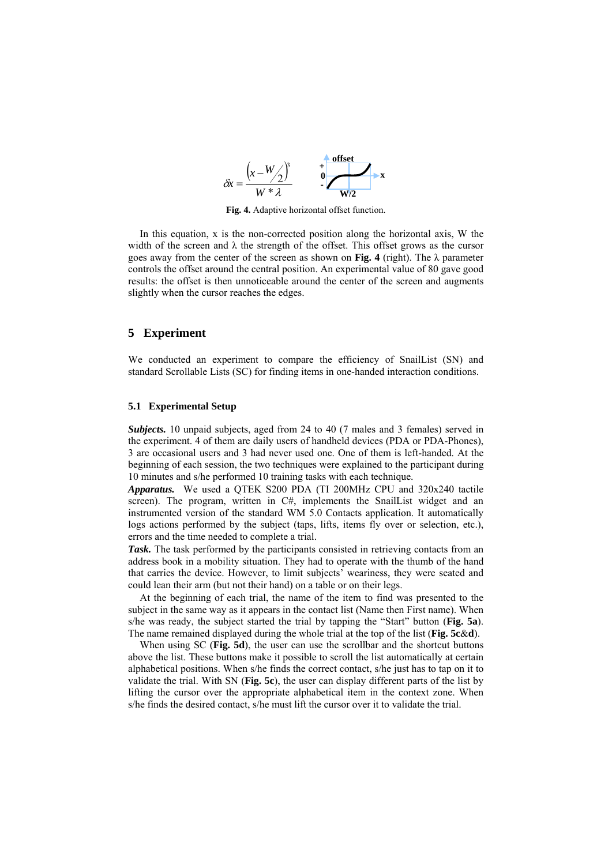

**Fig. 4.** Adaptive horizontal offset function.

In this equation,  $x$  is the non-corrected position along the horizontal axis,  $W$  the width of the screen and  $\lambda$  the strength of the offset. This offset grows as the cursor goes away from the center of the screen as shown on **Fig. 4** (right). The  $\lambda$  parameter controls the offset around the central position. An experimental value of 80 gave good results: the offset is then unnoticeable around the center of the screen and augments slightly when the cursor reaches the edges.

# **5 Experiment**

We conducted an experiment to compare the efficiency of SnailList (SN) and standard Scrollable Lists (SC) for finding items in one-handed interaction conditions.

#### **5.1 Experimental Setup**

*Subjects.* 10 unpaid subjects, aged from 24 to 40 (7 males and 3 females) served in the experiment. 4 of them are daily users of handheld devices (PDA or PDA-Phones), 3 are occasional users and 3 had never used one. One of them is left-handed. At the beginning of each session, the two techniques were explained to the participant during 10 minutes and s/he performed 10 training tasks with each technique.

*Apparatus.* We used a QTEK S200 PDA (TI 200MHz CPU and 320x240 tactile screen). The program, written in  $C#$ , implements the SnailList widget and an instrumented version of the standard WM 5.0 Contacts application. It automatically logs actions performed by the subject (taps, lifts, items fly over or selection, etc.), errors and the time needed to complete a trial.

*Task.* The task performed by the participants consisted in retrieving contacts from an address book in a mobility situation. They had to operate with the thumb of the hand that carries the device. However, to limit subjects' weariness, they were seated and could lean their arm (but not their hand) on a table or on their legs.

At the beginning of each trial, the name of the item to find was presented to the subject in the same way as it appears in the contact list (Name then First name). When s/he was ready, the subject started the trial by tapping the "Start" button (**Fig. 5a**). The name remained displayed during the whole trial at the top of the list (**Fig. 5c**&**d**).

When using SC (**Fig. 5d**), the user can use the scrollbar and the shortcut buttons above the list. These buttons make it possible to scroll the list automatically at certain alphabetical positions. When s/he finds the correct contact, s/he just has to tap on it to validate the trial. With SN (**Fig. 5c**), the user can display different parts of the list by lifting the cursor over the appropriate alphabetical item in the context zone. When s/he finds the desired contact, s/he must lift the cursor over it to validate the trial.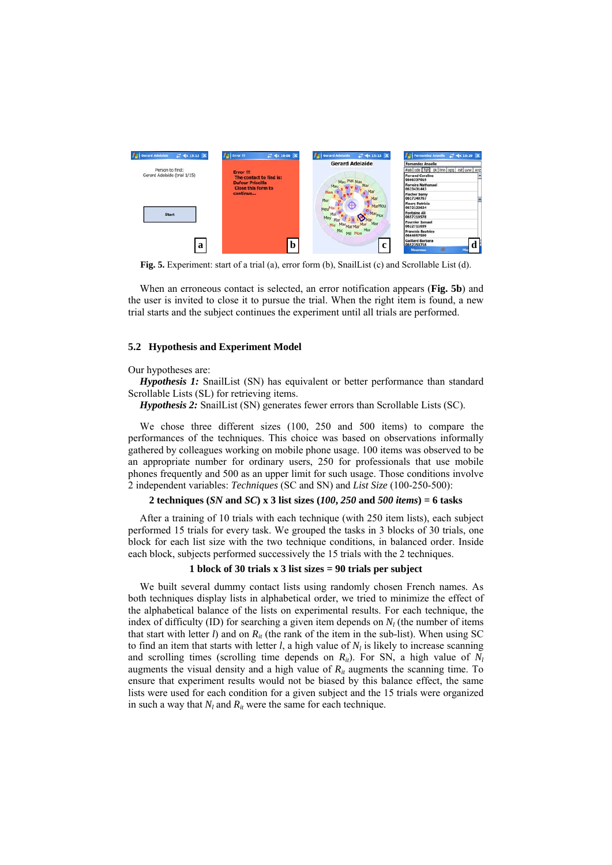

**Fig. 5.** Experiment: start of a trial (a), error form (b), SnailList (c) and Scrollable List (d).

When an erroneous contact is selected, an error notification appears (**Fig. 5b**) and the user is invited to close it to pursue the trial. When the right item is found, a new trial starts and the subject continues the experiment until all trials are performed.

#### **5.2 Hypothesis and Experiment Model**

Our hypotheses are:

*Hypothesis 1:* SnailList (SN) has equivalent or better performance than standard Scrollable Lists (SL) for retrieving items.

*Hypothesis 2:* SnailList (SN) generates fewer errors than Scrollable Lists (SC).

We chose three different sizes (100, 250 and 500 items) to compare the performances of the techniques. This choice was based on observations informally gathered by colleagues working on mobile phone usage. 100 items was observed to be an appropriate number for ordinary users, 250 for professionals that use mobile phones frequently and 500 as an upper limit for such usage. Those conditions involve 2 independent variables: *Techniques* (SC and SN) and *List Size* (100-250-500):

**2 techniques (***SN* **and** *SC***) x 3 list sizes (***100***,** *250* **and** *500 items***) = 6 tasks** 

After a training of 10 trials with each technique (with 250 item lists), each subject performed 15 trials for every task. We grouped the tasks in 3 blocks of 30 trials, one block for each list size with the two technique conditions, in balanced order. Inside each block, subjects performed successively the 15 trials with the 2 techniques.

#### **1 block of 30 trials x 3 list sizes = 90 trials per subject**

We built several dummy contact lists using randomly chosen French names. As both techniques display lists in alphabetical order, we tried to minimize the effect of the alphabetical balance of the lists on experimental results. For each technique, the index of difficulty (ID) for searching a given item depends on  $N_l$  (the number of items that start with letter  $l$ ) and on  $R_{it}$  (the rank of the item in the sub-list). When using SC to find an item that starts with letter *l*, a high value of  $N_l$  is likely to increase scanning and scrolling times (scrolling time depends on  $R_{ii}$ ). For SN, a high value of  $N_l$ augments the visual density and a high value of  $R_{it}$  augments the scanning time. To ensure that experiment results would not be biased by this balance effect, the same lists were used for each condition for a given subject and the 15 trials were organized in such a way that  $N_l$  and  $R_{it}$  were the same for each technique.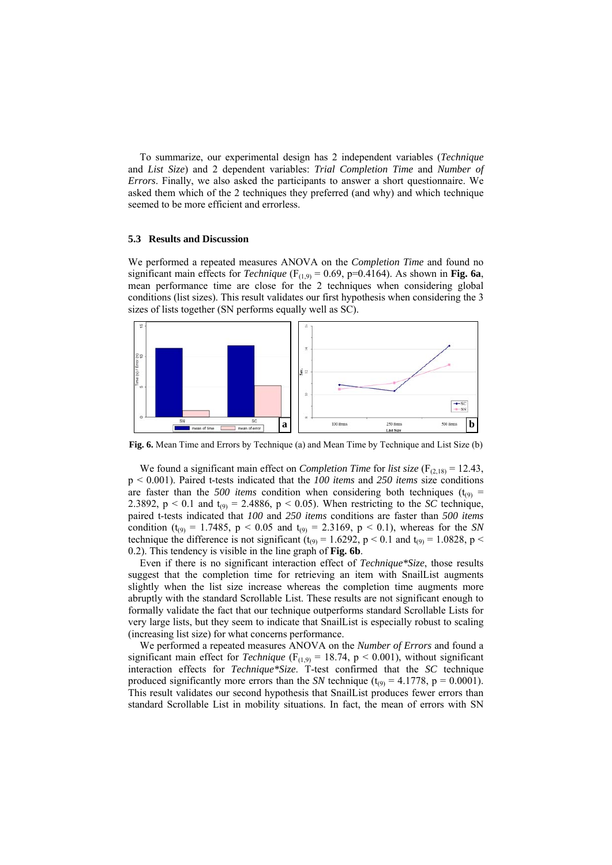To summarize, our experimental design has 2 independent variables (*Technique* and *List Size*) and 2 dependent variables: *Trial Completion Time* and *Number of Errors*. Finally, we also asked the participants to answer a short questionnaire. We asked them which of the 2 techniques they preferred (and why) and which technique seemed to be more efficient and errorless.

#### **5.3 Results and Discussion**

We performed a repeated measures ANOVA on the *Completion Time* and found no significant main effects for *Technique* ( $F_{(1,9)} = 0.69$ , p=0.4164). As shown in **Fig. 6a**, mean performance time are close for the 2 techniques when considering global conditions (list sizes). This result validates our first hypothesis when considering the 3 sizes of lists together (SN performs equally well as SC).



**Fig. 6.** Mean Time and Errors by Technique (a) and Mean Time by Technique and List Size (b)

We found a significant main effect on *Completion Time* for *list size* ( $F_{(2,18)} = 12.43$ , p < 0.001). Paired t-tests indicated that the *100 items* and *250 items* size conditions are faster than the *500 items* condition when considering both techniques ( $t_{(9)}$  = 2.3892,  $p < 0.1$  and  $t_{(9)} = 2.4886$ ,  $p < 0.05$ ). When restricting to the *SC* technique, paired t-tests indicated that *100* and *250 items* conditions are faster than *500 items* condition (t<sub>(9)</sub> = 1.7485,  $p < 0.05$  and t<sub>(9)</sub> = 2.3169,  $p < 0.1$ ), whereas for the *SN* technique the difference is not significant  $(t_{(9)} = 1.6292, p < 0.1$  and  $t_{(9)} = 1.0828, p <$ 0.2). This tendency is visible in the line graph of **Fig. 6b**.

Even if there is no significant interaction effect of *Technique\*Size*, those results suggest that the completion time for retrieving an item with SnailList augments slightly when the list size increase whereas the completion time augments more abruptly with the standard Scrollable List. These results are not significant enough to formally validate the fact that our technique outperforms standard Scrollable Lists for very large lists, but they seem to indicate that SnailList is especially robust to scaling (increasing list size) for what concerns performance.

We performed a repeated measures ANOVA on the *Number of Errors* and found a significant main effect for *Technique* ( $F_{(1,9)} = 18.74$ ,  $p < 0.001$ ), without significant interaction effects for *Technique\*Size*. T-test confirmed that the *SC* technique produced significantly more errors than the *SN* technique ( $t_{(9)} = 4.1778$ ,  $p = 0.0001$ ). This result validates our second hypothesis that SnailList produces fewer errors than standard Scrollable List in mobility situations. In fact, the mean of errors with SN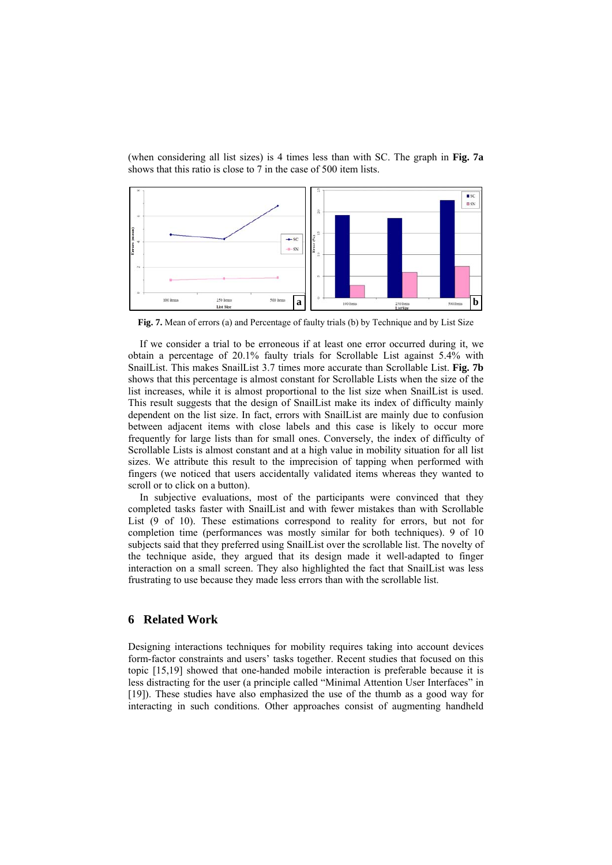(when considering all list sizes) is 4 times less than with SC. The graph in **Fig. 7a** shows that this ratio is close to 7 in the case of 500 item lists.



**Fig. 7.** Mean of errors (a) and Percentage of faulty trials (b) by Technique and by List Size

If we consider a trial to be erroneous if at least one error occurred during it, we obtain a percentage of 20.1% faulty trials for Scrollable List against 5.4% with SnailList. This makes SnailList 3.7 times more accurate than Scrollable List. **Fig. 7b**  shows that this percentage is almost constant for Scrollable Lists when the size of the list increases, while it is almost proportional to the list size when SnailList is used. This result suggests that the design of SnailList make its index of difficulty mainly dependent on the list size. In fact, errors with SnailList are mainly due to confusion between adjacent items with close labels and this case is likely to occur more frequently for large lists than for small ones. Conversely, the index of difficulty of Scrollable Lists is almost constant and at a high value in mobility situation for all list sizes. We attribute this result to the imprecision of tapping when performed with fingers (we noticed that users accidentally validated items whereas they wanted to scroll or to click on a button).

In subjective evaluations, most of the participants were convinced that they completed tasks faster with SnailList and with fewer mistakes than with Scrollable List (9 of 10). These estimations correspond to reality for errors, but not for completion time (performances was mostly similar for both techniques). 9 of 10 subjects said that they preferred using SnailList over the scrollable list. The novelty of the technique aside, they argued that its design made it well-adapted to finger interaction on a small screen. They also highlighted the fact that SnailList was less frustrating to use because they made less errors than with the scrollable list.

## **6 Related Work**

Designing interactions techniques for mobility requires taking into account devices form-factor constraints and users' tasks together. Recent studies that focused on this topic [15,19] showed that one-handed mobile interaction is preferable because it is less distracting for the user (a principle called "Minimal Attention User Interfaces" in [19]). These studies have also emphasized the use of the thumb as a good way for interacting in such conditions. Other approaches consist of augmenting handheld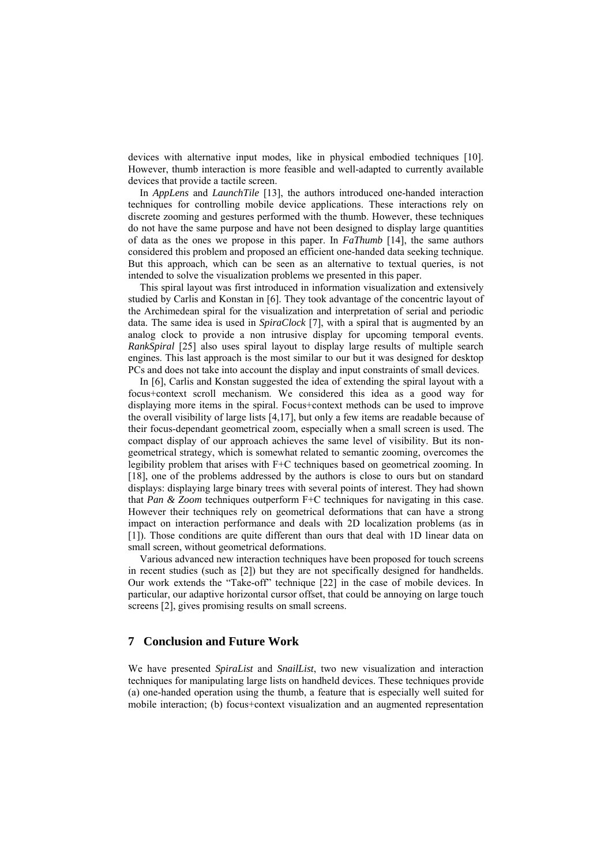devices with alternative input modes, like in physical embodied techniques [10]. However, thumb interaction is more feasible and well-adapted to currently available devices that provide a tactile screen.

In *AppLens* and *LaunchTile* [13], the authors introduced one-handed interaction techniques for controlling mobile device applications. These interactions rely on discrete zooming and gestures performed with the thumb. However, these techniques do not have the same purpose and have not been designed to display large quantities of data as the ones we propose in this paper. In *FaThumb* [14], the same authors considered this problem and proposed an efficient one-handed data seeking technique. But this approach, which can be seen as an alternative to textual queries, is not intended to solve the visualization problems we presented in this paper.

This spiral layout was first introduced in information visualization and extensively studied by Carlis and Konstan in [6]. They took advantage of the concentric layout of the Archimedean spiral for the visualization and interpretation of serial and periodic data. The same idea is used in *SpiraClock* [7], with a spiral that is augmented by an analog clock to provide a non intrusive display for upcoming temporal events. *RankSpiral* [25] also uses spiral layout to display large results of multiple search engines. This last approach is the most similar to our but it was designed for desktop PCs and does not take into account the display and input constraints of small devices.

In [6], Carlis and Konstan suggested the idea of extending the spiral layout with a focus+context scroll mechanism. We considered this idea as a good way for displaying more items in the spiral. Focus+context methods can be used to improve the overall visibility of large lists [4,17], but only a few items are readable because of their focus-dependant geometrical zoom, especially when a small screen is used. The compact display of our approach achieves the same level of visibility. But its nongeometrical strategy, which is somewhat related to semantic zooming, overcomes the legibility problem that arises with F+C techniques based on geometrical zooming. In [18], one of the problems addressed by the authors is close to ours but on standard displays: displaying large binary trees with several points of interest. They had shown that *Pan & Zoom* techniques outperform F+C techniques for navigating in this case. However their techniques rely on geometrical deformations that can have a strong impact on interaction performance and deals with 2D localization problems (as in [1]). Those conditions are quite different than ours that deal with 1D linear data on small screen, without geometrical deformations.

Various advanced new interaction techniques have been proposed for touch screens in recent studies (such as [2]) but they are not specifically designed for handhelds. Our work extends the "Take-off" technique [22] in the case of mobile devices. In particular, our adaptive horizontal cursor offset, that could be annoying on large touch screens [2], gives promising results on small screens.

# **7 Conclusion and Future Work**

We have presented *SpiraList* and *SnailList*, two new visualization and interaction techniques for manipulating large lists on handheld devices. These techniques provide (a) one-handed operation using the thumb, a feature that is especially well suited for mobile interaction; (b) focus+context visualization and an augmented representation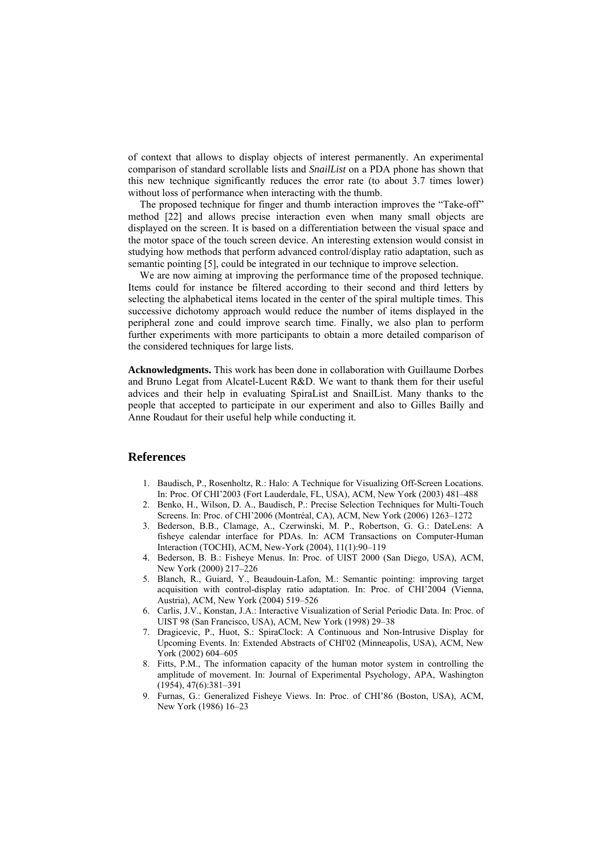of context that allows to display objects of interest permanently. An experimental comparison of standard scrollable lists and *SnailList* on a PDA phone has shown that this new technique significantly reduces the error rate (to about 3.7 times lower) without loss of performance when interacting with the thumb.

The proposed technique for finger and thumb interaction improves the "Take-off" method [22] and allows precise interaction even when many small objects are displayed on the screen. It is based on a differentiation between the visual space and the motor space of the touch screen device. An interesting extension would consist in studying how methods that perform advanced control/display ratio adaptation, such as semantic pointing [5], could be integrated in our technique to improve selection.

We are now aiming at improving the performance time of the proposed technique. Items could for instance be filtered according to their second and third letters by selecting the alphabetical items located in the center of the spiral multiple times. This successive dichotomy approach would reduce the number of items displayed in the peripheral zone and could improve search time. Finally, we also plan to perform further experiments with more participants to obtain a more detailed comparison of the considered techniques for large lists.

**Acknowledgments.** This work has been done in collaboration with Guillaume Dorbes and Bruno Legat from Alcatel-Lucent R&D. We want to thank them for their useful advices and their help in evaluating SpiraList and SnailList. Many thanks to the people that accepted to participate in our experiment and also to Gilles Bailly and Anne Roudaut for their useful help while conducting it.

## **References**

- 1. Baudisch, P., Rosenholtz, R.: Halo: A Technique for Visualizing Off-Screen Locations. In: Proc. Of CHI'2003 (Fort Lauderdale, FL, USA), ACM, New York (2003) 481–488
- 2. Benko, H., Wilson, D. A., Baudisch, P.: Precise Selection Techniques for Multi-Touch Screens. In: Proc. of CHI'2006 (Montréal, CA), ACM, New York (2006) 1263–1272
- 3. Bederson, B.B., Clamage, A., Czerwinski, M. P., Robertson, G. G.: DateLens: A fisheye calendar interface for PDAs. In: ACM Transactions on Computer-Human Interaction (TOCHI), ACM, New-York (2004), 11(1):90–119
- 4. Bederson, B. B.: Fisheye Menus. In: Proc. of UIST 2000 (San Diego, USA), ACM, New York (2000) 217–226
- 5. Blanch, R., Guiard, Y., Beaudouin-Lafon, M.: Semantic pointing: improving target acquisition with control-display ratio adaptation. In: Proc. of CHI'2004 (Vienna, Austria), ACM, New York (2004) 519–526
- 6. Carlis, J.V., Konstan, J.A.: Interactive Visualization of Serial Periodic Data. In: Proc. of UIST 98 (San Francisco, USA), ACM, New York (1998) 29–38
- 7. Dragicevic, P., Huot, S.: SpiraClock: A Continuous and Non-Intrusive Display for Upcoming Events. In: Extended Abstracts of CHI'02 (Minneapolis, USA), ACM, New York (2002) 604–605
- 8. Fitts, P.M., The information capacity of the human motor system in controlling the amplitude of movement. In: Journal of Experimental Psychology, APA, Washington (1954), 47(6):381–391
- 9. Furnas, G.: Generalized Fisheye Views. In: Proc. of CHI'86 (Boston, USA), ACM, New York (1986) 16–23